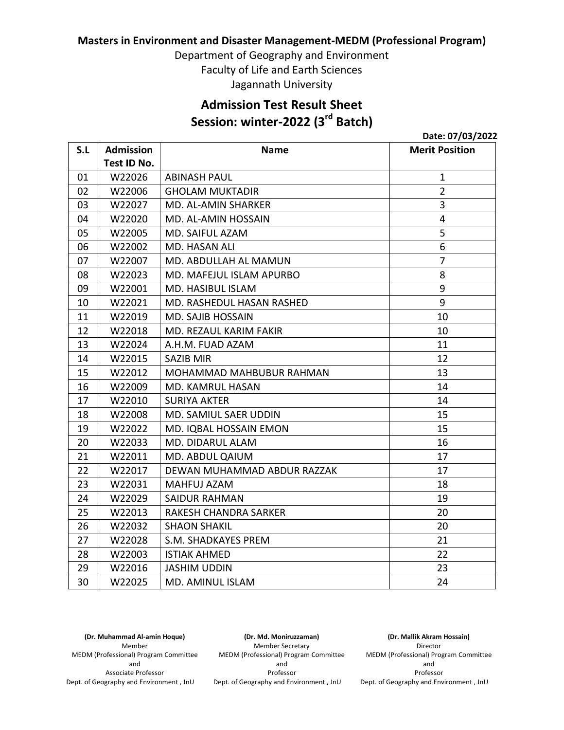### **Masters in Environment and Disaster Management-MEDM (Professional Program)**

Department of Geography and Environment Faculty of Life and Earth Sciences Jagannath University

## **Admission Test Result Sheet Session: winter-2022 (3rd Batch)**

| S.L | <b>Admission</b> | <b>Name</b>                             | <b>Merit Position</b> |
|-----|------------------|-----------------------------------------|-----------------------|
|     | Test ID No.      |                                         |                       |
| 01  | W22026           | <b>ABINASH PAUL</b>                     | $\mathbf 1$           |
| 02  | W22006           | <b>GHOLAM MUKTADIR</b>                  | $\overline{2}$        |
| 03  | W22027           | MD. AL-AMIN SHARKER                     | 3                     |
| 04  | W22020           | MD. AL-AMIN HOSSAIN                     | 4                     |
| 05  | W22005           | MD. SAIFUL AZAM                         | 5                     |
| 06  | W22002           | MD. HASAN ALI                           | 6                     |
| 07  | W22007           | $\overline{7}$<br>MD. ABDULLAH AL MAMUN |                       |
| 08  | W22023           | 8<br>MD. MAFEJUL ISLAM APURBO           |                       |
| 09  | W22001           | 9<br>MD. HASIBUL ISLAM                  |                       |
| 10  | W22021           | MD. RASHEDUL HASAN RASHED               | 9                     |
| 11  | W22019           | <b>MD. SAJIB HOSSAIN</b>                | 10                    |
| 12  | W22018           | MD. REZAUL KARIM FAKIR                  | 10                    |
| 13  | W22024           | A.H.M. FUAD AZAM                        | 11                    |
| 14  | W22015           | <b>SAZIB MIR</b>                        | 12                    |
| 15  | W22012           | MOHAMMAD MAHBUBUR RAHMAN                | 13                    |
| 16  | W22009           | MD. KAMRUL HASAN                        | 14                    |
| 17  | W22010           | <b>SURIYA AKTER</b>                     | 14                    |
| 18  | W22008           | MD. SAMIUL SAER UDDIN                   | 15                    |
| 19  | W22022           | MD. IQBAL HOSSAIN EMON                  | 15                    |
| 20  | W22033           | MD. DIDARUL ALAM                        | 16                    |
| 21  | W22011           | MD. ABDUL QAIUM                         | 17                    |
| 22  | W22017           | DEWAN MUHAMMAD ABDUR RAZZAK             | 17                    |
| 23  | W22031           | MAHFUJ AZAM                             | 18                    |
| 24  | W22029           | <b>SAIDUR RAHMAN</b>                    | 19                    |
| 25  | W22013           | RAKESH CHANDRA SARKER                   | 20                    |
| 26  | W22032           | <b>SHAON SHAKIL</b>                     | 20                    |
| 27  | W22028           | S.M. SHADKAYES PREM                     | 21                    |
| 28  | W22003           | <b>ISTIAK AHMED</b>                     | 22                    |
| 29  | W22016           | <b>JASHIM UDDIN</b>                     | 23                    |
| 30  | W22025           | MD. AMINUL ISLAM                        | 24                    |

**(Dr. Muhammad Al-amin Hoque)** Member MEDM (Professional) Program Committee and Associate Professor Dept. of Geography and Environment , JnU

**(Dr. Md. Moniruzzaman)** Member Secretary MEDM (Professional) Program Committee and Professor Dept. of Geography and Environment , JnU

**(Dr. Mallik Akram Hossain)** Director MEDM (Professional) Program Committee and Professor Dept. of Geography and Environment , JnU

**Date: 07/03/2022**